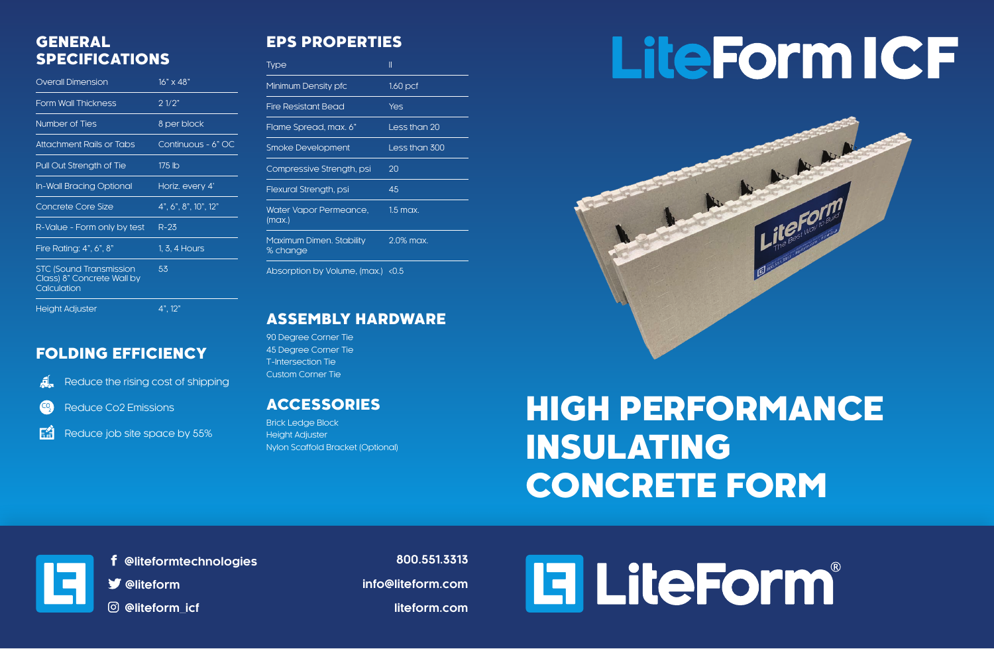#### FOLDING EFFICIENCY

Reduce Co2 Emissions  $\mathbf{CQ}$ 

Reduce the rising cost of shipping

EĤ Reduce job site space by 55%

#### EPS PROPERTIES

| <b>Type</b>                          | II            |
|--------------------------------------|---------------|
| Minimum Density pfc                  | $1.60$ pcf    |
| <b>Fire Resistant Bead</b>           | <b>Yes</b>    |
| Flame Spread, max. 6"                | Less than 20  |
| <b>Smoke Development</b>             | Less than 300 |
| Compressive Strength, psi            | 20            |
| Flexural Strength, psi               | 45            |
| Water Vapor Permeance,<br>(max.)     | $1.5$ max.    |
| Maximum Dimen. Stability<br>% change | 2.0% max.     |
| Absorption by Volume, (max.)         | < 0.5         |

#### GENERAL SPECIFICATIONS

| <b>Overall Dimension</b>                                                    | $16" \times 48"$     |
|-----------------------------------------------------------------------------|----------------------|
| <b>Form Wall Thickness</b>                                                  | 21/2"                |
| Number of Ties                                                              | 8 per block          |
| <b>Attachment Rails or Tabs</b>                                             | Continuous - 6" OC   |
| Pull Out Strength of Tie                                                    | 175 lb               |
| In-Wall Bracing Optional                                                    | Horiz. every 4'      |
| <b>Concrete Core Size</b>                                                   | 4", 6", 8", 10", 12" |
| R-Value - Form only by test                                                 | $R-23$               |
| Fire Rating: 4", 6", 8"                                                     | 1, 3, 4 Hours        |
| <b>STC (Sound Transmission</b><br>Class) 8" Concrete Wall by<br>Calculation | 53                   |
| <b>Height Adjuster</b>                                                      | 4", 12"              |

ASSEMBLY HARDWARE

90 Degree Corner Tie 45 Degree Corner Tie T-Intersection Tie Custom Corner Tie

#### ACCESSORIES

Brick Ledge Block Height Adjuster Nylon Scaffold Bracket (Optional)

# **LiteForm ICF**



**800.551.3313 info@liteform.com liteform.com**



 **@liteformtechnologies**

 **@liteform**

 **@liteform\_icf**

## HIGH PERFORMANCE INSULATING CONCRETE FORM